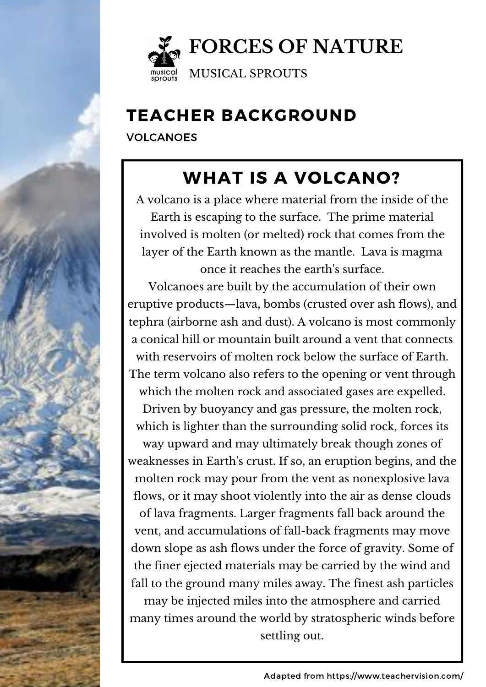

VOLCANOES

# WHAT IS A VOLCANO?

A volcano is a place where material from the inside of the Earth is escaping to the surface. The prime material involved is molten (or melted) rock that comes from the layer of the Earth known as the mantle. Lava is magma once it reaches the earth's surface.

Volcanoes are built by the accumulation of their own eruptive products—lava, bombs (crusted over ash flows), and tephra (airborne ash and dust). A volcano is most commonly a conical hill or mountain built around a vent that connects with reservoirs of molten rock below the surface of Earth. The term volcano also refers to the opening or vent through which the molten rock and associated gases are expelled. Driven by buoyancy and gas pressure, the molten rock, which is lighter than the surrounding solid rock, forces its way upward and may ultimately break though zones of weaknesses in Earth's crust. If so, an eruption begins, and the molten rock may pour from the vent as nonexplosive lava flows, or it may shoot violently into the air as dense clouds of lava fragments. Larger fragments fall back around the vent, and accumulations of fall-back fragments may move down slope as ash flows under the force of gravity. Some of the finer ejected materials may be carried by the wind and fall to the ground many miles away. The finest ash particles may be injected miles into the atmosphere and carried many times around the world by stratospheric winds before settling out.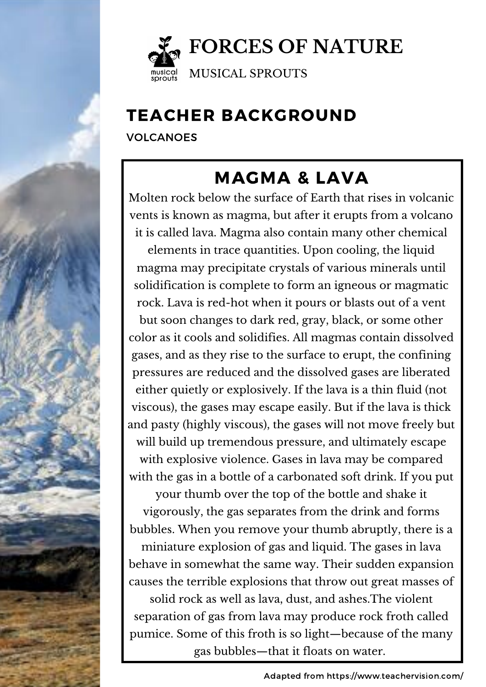

VOLCANOES

# MAGMA & LAVA

Molten rock below the surface of Earth that rises in volcanic vents is known as magma, but after it erupts from a volcano it is called lava. Magma also contain many other chemical elements in trace quantities. Upon cooling, the liquid magma may precipitate crystals of various minerals until solidification is complete to form an igneous or magmatic rock. Lava is red-hot when it pours or blasts out of a vent but soon changes to dark red, gray, black, or some other color as it cools and solidifies. All magmas contain dissolved gases, and as they rise to the surface to erupt, the confining pressures are reduced and the dissolved gases are liberated either quietly or explosively. If the lava is a thin fluid (not viscous), the gases may escape easily. But if the lava is thick and pasty (highly viscous), the gases will not move freely but will build up tremendous pressure, and ultimately escape with explosive violence. Gases in lava may be compared with the gas in a bottle of a carbonated soft drink. If you put your thumb over the top of the bottle and shake it vigorously, the gas separates from the drink and forms bubbles. When you remove your thumb abruptly, there is a miniature explosion of gas and liquid. The gases in lava behave in somewhat the same way. Their sudden expansion causes the terrible explosions that throw out great masses of solid rock as well as lava, dust, and ashes.The violent separation of gas from lava may produce rock froth called pumice. Some of this froth is so light—because of the many gas bubbles—that it floats on water.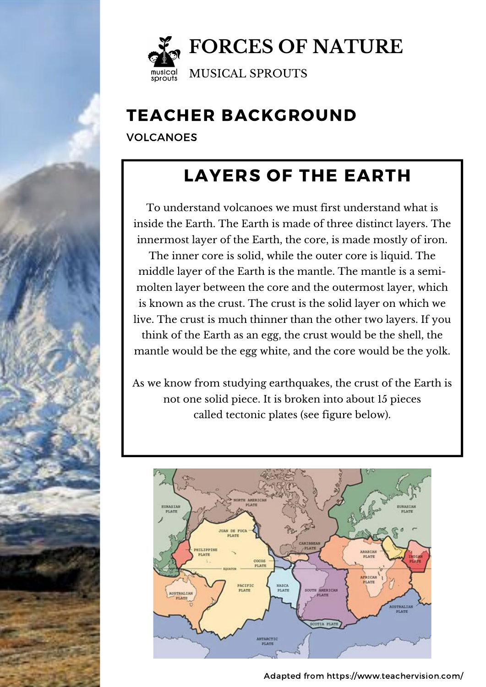

VOLCANOES

### LAYERS OF THE EARTH

To understand volcanoes we must first understand what is inside the Earth. The Earth is made of three distinct layers. The innermost layer of the Earth, the core, is made mostly of iron. The inner core is solid, while the outer core is liquid. The middle layer of the Earth is the mantle. The mantle is a semimolten layer between the core and the outermost layer, which is known as the crust. The crust is the solid layer on which we live. The crust is much thinner than the other two layers. If you think of the Earth as an egg, the crust would be the shell, the mantle would be the egg white, and the core would be the yolk.

As we know from studying earthquakes, the crust of the Earth is not one solid piece. It is broken into about 15 pieces called tectonic plates (see figure below).



Adapted from https://www.teachervision.com/